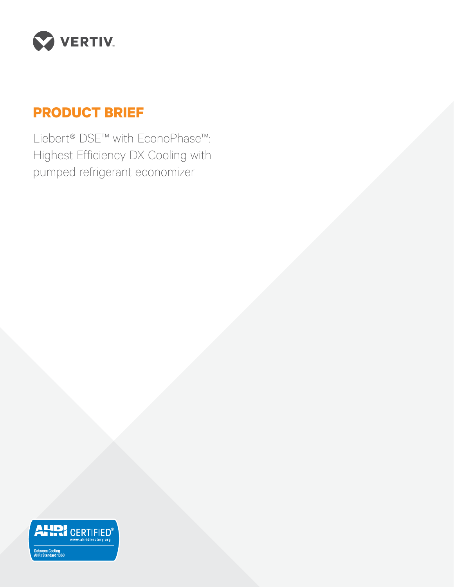

# **PRODUCT BRIEF**

Liebert® DSE™ with EconoPhase™: Highest Efficiency DX Cooling with pumped refrigerant economizer

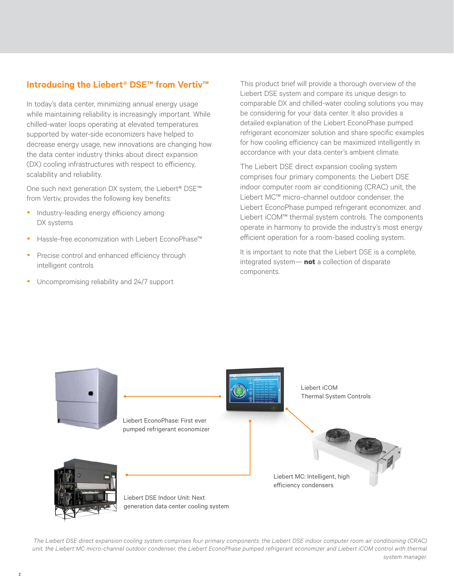# **Introducing the Liebert® DSE™ from Vertiv™**

In today's data center, minimizing annual energy usage while maintaining reliability is increasingly important. While chilled-water loops operating at elevated temperatures supported by water-side economizers have helped to decrease energy usage, new innovations are changing how the data center industry thinks about direct expansion (DX) cooling infrastructures with respect to efficiency, scalability and reliability.

One such next generation DX system, the Liebert® DSE™ from Vertiv, provides the following key benefits:

- Industry-leading energy efficiency among DX systems
- Hassle-free economization with Liebert EconoPhase™
- Precise control and enhanced efficiency through intelligent controls
- Uncompromising reliability and 24/7 support

This product brief will provide a thorough overview of the Liebert DSE system and compare its unique design to comparable DX and chilled-water cooling solutions you may be considering for your data center. It also provides a detailed explanation of the Liebert EconoPhase pumped refrigerant economizer solution and share specific examples for how cooling efficiency can be maximized intelligently in accordance with your data center's ambient climate.

The Liebert DSE direct expansion cooling system comprises four primary components: the Liebert DSE indoor computer room air conditioning (CRAC) unit, the Liebert MC™ micro-channel outdoor condenser, the Liebert EconoPhase pumped refrigerant economizer, and Liebert iCOM™ thermal system controls. The components operate in harmony to provide the industry's most energy efficient operation for a room-based cooling system.

It is important to note that the Liebert DSE is a complete, integrated system— **not** a collection of disparate components.



*The Liebert DSE direct expansion cooling system comprises four primary components: the Liebert DSE indoor computer room air conditioning (CRAC) unit, the Liebert MC micro-channel outdoor condenser, the Liebert EconoPhase pumped refrigerant economizer and Liebert iCOM control with thermal system manager.*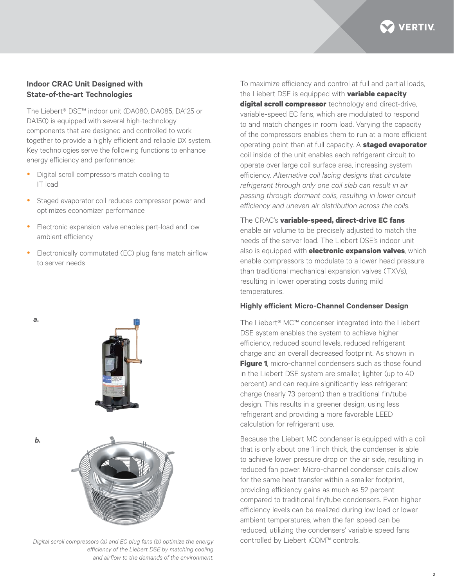

### **Indoor CRAC Unit Designed with State-of-the-art Technologies**

The Liebert® DSE™ indoor unit (DA080, DA085, DA125 or DA150) is equipped with several high-technology components that are designed and controlled to work together to provide a highly efficient and reliable DX system. Key technologies serve the following functions to enhance energy efficiency and performance:

- Digital scroll compressors match cooling to IT load
- Staged evaporator coil reduces compressor power and optimizes economizer performance
- Electronic expansion valve enables part-load and low ambient efficiency
- Electronically commutated (EC) plug fans match airflow to server needs





*b.*

*a.*

*Digital scroll compressors (a) and EC plug fans (b) optimize the energy* controlled by Liebert iCOM™ controls. *efficiency of the Liebert DSE by matching cooling and airflow to the demands of the environment.* 

To maximize efficiency and control at full and partial loads, the Liebert DSE is equipped with **variable capacity digital scroll compressor** technology and direct-drive, variable-speed EC fans, which are modulated to respond to and match changes in room load. Varying the capacity of the compressors enables them to run at a more efficient operating point than at full capacity. A **staged evaporator** coil inside of the unit enables each refrigerant circuit to operate over large coil surface area, increasing system efficiency. *Alternative coil lacing designs that circulate refrigerant through only one coil slab can result in air passing through dormant coils, resulting in lower circuit efficiency and uneven air distribution across the coils.*

The CRAC's **variable-speed, direct-drive EC fans** enable air volume to be precisely adjusted to match the needs of the server load. The Liebert DSE's indoor unit also is equipped with **electronic expansion valves**, which enable compressors to modulate to a lower head pressure than traditional mechanical expansion valves (TXVs), resulting in lower operating costs during mild temperatures.

#### **Highly efficient Micro-Channel Condenser Design**

The Liebert® MC™ condenser integrated into the Liebert DSE system enables the system to achieve higher efficiency, reduced sound levels, reduced refrigerant charge and an overall decreased footprint. As shown in **Figure 1**, micro-channel condensers such as those found in the Liebert DSE system are smaller, lighter (up to 40 percent) and can require significantly less refrigerant charge (nearly 73 percent) than a traditional fin/tube design. This results in a greener design, using less refrigerant and providing a more favorable LEED calculation for refrigerant use.

Because the Liebert MC condenser is equipped with a coil that is only about one 1 inch thick, the condenser is able to achieve lower pressure drop on the air side, resulting in reduced fan power. Micro-channel condenser coils allow for the same heat transfer within a smaller footprint. providing efficiency gains as much as 52 percent compared to traditional fin/tube condensers. Even higher efficiency levels can be realized during low load or lower ambient temperatures, when the fan speed can be reduced, utilizing the condensers' variable speed fans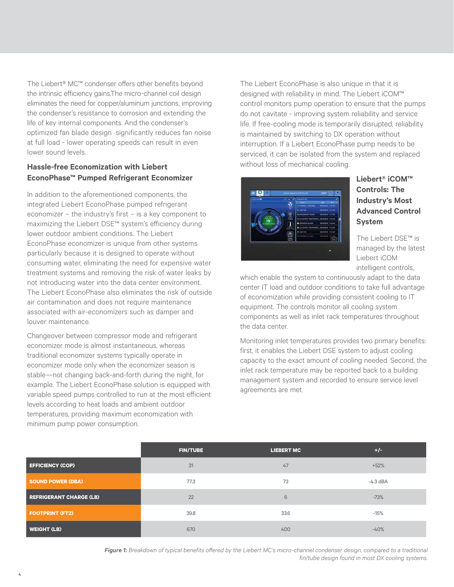The Liebert® MC™ condenser offers other benefits beyond the intrinsic efficiency gains.The micro-channel coil design eliminates the need for copper/aluminum junctions, improving the condenser's resistance to corrosion and extending the life of key internal components. And the condenser's optimized fan blade design significantly reduces fan noise at full load - lower operating speeds can result in even lower sound levels.

# **Hassle-free Economization with Liebert EconoPhase™ Pumped Refrigerant Economizer**

In addition to the aforementioned components, the integrated Liebert EconoPhase pumped refrigerant economizer – the industry's first – is a key component to maximizing the Liebert DSE™ system's efficiency during lower outdoor ambient conditions. The Liebert EconoPhase economizer is unique from other systems particularly because it is designed to operate without consuming water, eliminating the need for expensive water treatment systems and removing the risk of water leaks by not introducing water into the data center environment. The Liebert EconoPhase also eliminates the risk of outside air contamination and does not require maintenance associated with air-economizers such as damper and louver maintenance.

Changeover between compressor mode and refrigerant economizer mode is almost instantaneous, whereas traditional economizer systems typically operate in economizer mode only when the economizer season is stable—not changing back-and-forth during the night, for example. The Liebert EconoPhase solution is equipped with variable speed pumps controlled to run at the most efficient levels according to heat loads and ambient outdoor temperatures, providing maximum economization with minimum pump power consumption.

The Liebert EconoPhase is also unique in that it is designed with reliability in mind. The Liebert iCOM™ control monitors pump operation to ensure that the pumps do not cavitate - improving system reliability and service life. If free-cooling mode is temporarily disrupted, reliability is maintained by switching to DX operation without interruption. If a Liebert EconoPhase pump needs to be serviced, it can be isolated from the system and replaced without loss of mechanical cooling.



# **Liebert® iCOM™ Controls: The Industry's Most Advanced Control System**

The Liebert DSE™ is managed by the latest Liebert iCOM intelligent controls,

which enable the system to continuously adapt to the data center IT load and outdoor conditions to take full advantage of economization while providing consistent cooling to IT equipment. The controls monitor all cooling system components as well as inlet rack temperatures throughout the data center.

Monitoring inlet temperatures provides two primary benefits: first, it enables the Liebert DSE system to adjust cooling capacity to the exact amount of cooling needed. Second, the inlet rack temperature may be reported back to a building management system and recorded to ensure service level agreements are met.

|                                | <b>FIN/TUBE</b> | <b>LIEBERT MC</b> | $+/-$      |
|--------------------------------|-----------------|-------------------|------------|
| <b>EFFICIENCY (COP)</b>        | 31              | 47                | $+52%$     |
| <b>SOUND POWER (DBA)</b>       | 77.3            | 73                | $-4.3$ dBA |
| <b>REFRIGERANT CHARGE (LB)</b> | 22              | $6\phantom{1}$    | $-73%$     |
| <b>FOOTPRINT (FT2)</b>         | 39.8            | 33.6              | $-15%$     |
| <b>WEIGHT (LB)</b>             | 670             | 400               | $-40%$     |

*Figure 1: Breakdown of typical benefits offered by the Liebert MC's micro-channel condenser design, compared to a traditional fin/tube design found in most DX cooling systems.*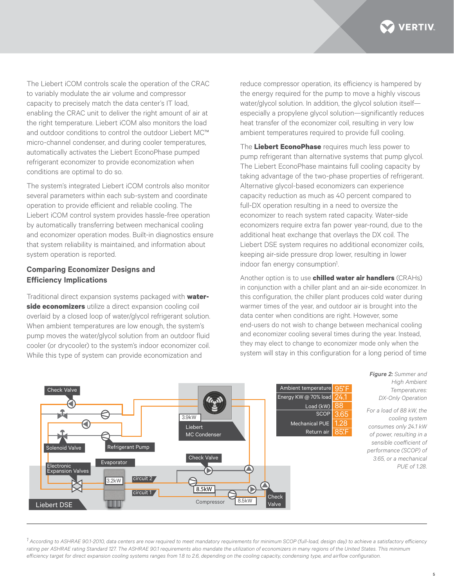

The Liebert iCOM controls scale the operation of the CRAC to variably modulate the air volume and compressor capacity to precisely match the data center's IT load, enabling the CRAC unit to deliver the right amount of air at the right temperature. Liebert iCOM also monitors the load and outdoor conditions to control the outdoor Liebert MC™ micro-channel condenser, and during cooler temperatures, automatically activates the Liebert EconoPhase pumped refrigerant economizer to provide economization when conditions are optimal to do so.

The system's integrated Liebert iCOM controls also monitor several parameters within each sub-system and coordinate operation to provide efficient and reliable cooling. The Liebert iCOM control system provides hassle-free operation by automatically transferring between mechanical cooling and economizer operation modes. Built-in diagnostics ensure that system reliability is maintained, and information about system operation is reported.

# **Comparing Economizer Designs and Efficiency Implications**

Traditional direct expansion systems packaged with **waterside economizers** utilize a direct expansion cooling coil overlaid by a closed loop of water/glycol refrigerant solution. When ambient temperatures are low enough, the system's pump moves the water/glycol solution from an outdoor fluid cooler (or drycooler) to the system's indoor economizer coil. While this type of system can provide economization and

reduce compressor operation, its efficiency is hampered by the energy required for the pump to move a highly viscous water/glycol solution. In addition, the glycol solution itself especially a propylene glycol solution—significantly reduces heat transfer of the economizer coil, resulting in very low ambient temperatures required to provide full cooling.

The **Liebert EconoPhase** requires much less power to pump refrigerant than alternative systems that pump glycol. The Liebert EconoPhase maintains full cooling capacity by taking advantage of the two-phase properties of refrigerant. Alternative glycol-based economizers can experience capacity reduction as much as 40 percent compared to full-DX operation resulting in a need to oversize the economizer to reach system rated capacity. Water-side economizers require extra fan power year-round, due to the additional heat exchange that overlays the DX coil. The Liebert DSE system requires no additional economizer coils, keeping air-side pressure drop lower, resulting in lower indoor fan energy consumption<sup>1</sup>. .

Another option is to use **chilled water air handlers** (CRAHs) in conjunction with a chiller plant and an air-side economizer. In this configuration, the chiller plant produces cold water during warmer times of the year, and outdoor air is brought into the data center when conditions are right. However, some end-users do not wish to change between mechanical cooling and economizer cooling several times during the year. Instead, they may elect to change to economizer mode only when the system will stay in this configuration for a long period of time



*Figure 2: Summer and High Ambient Temperatures: DX-Only Operation*

*For a load of 88 kW, the cooling system consumes only 24.1 kW of power, resulting in a sensible coefficient of performance (SCOP) of 3.65, or a mechanical PUE of 1.28.* 

*1 According to ASHRAE 90.1-2010, data centers are now required to meet mandatory requirements for minimum SCOP (full-load, design day) to achieve a satisfactory efficiency*  rating per ASHRAE rating Standard 127. The ASHRAE 90.1 requirements also mandate the utilization of economizers in many regions of the United States. This minimum *efficiency target for direct expansion cooling systems ranges from 1.8 to 2.6, depending on the cooling capacity, condensing type, and airflow configuration.*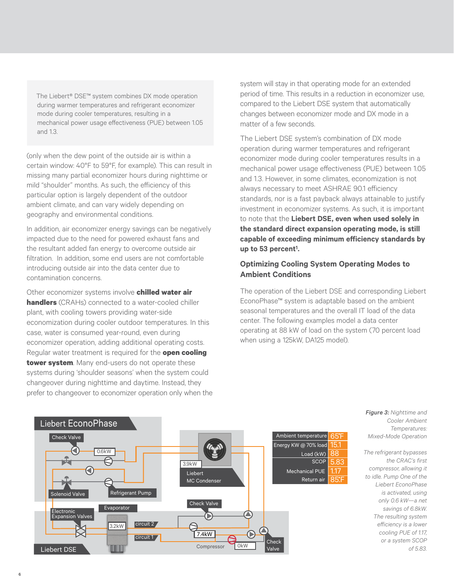The Liebert® DSE™ system combines DX mode operation during warmer temperatures and refrigerant economizer mode during cooler temperatures, resulting in a mechanical power usage effectiveness (PUE) between 1.05 and 1.3.

(only when the dew point of the outside air is within a certain window: 40°F to 59°F, for example). This can result in missing many partial economizer hours during nighttime or mild "shoulder" months. As such, the efficiency of this particular option is largely dependent of the outdoor ambient climate, and can vary widely depending on geography and environmental conditions.

In addition, air economizer energy savings can be negatively impacted due to the need for powered exhaust fans and the resultant added fan energy to overcome outside air filtration. In addition, some end users are not comfortable introducing outside air into the data center due to contamination concerns.

Other economizer systems involve **chilled water air handlers** (CRAHs) connected to a water-cooled chiller plant, with cooling towers providing water-side economization during cooler outdoor temperatures. In this case, water is consumed year-round, even during economizer operation, adding additional operating costs. Regular water treatment is required for the **open cooling tower system**. Many end-users do not operate these systems during 'shoulder seasons' when the system could changeover during nighttime and daytime. Instead, they prefer to changeover to economizer operation only when the system will stay in that operating mode for an extended period of time. This results in a reduction in economizer use, compared to the Liebert DSE system that automatically changes between economizer mode and DX mode in a matter of a few seconds.

The Liebert DSE system's combination of DX mode operation during warmer temperatures and refrigerant economizer mode during cooler temperatures results in a mechanical power usage effectiveness (PUE) between 1.05 and 1.3. However, in some climates, economization is not always necessary to meet ASHRAE 90.1 efficiency standards, nor is a fast payback always attainable to justify investment in economizer systems. As such, it is important to note that the **Liebert DSE, even when used solely in the standard direct expansion operating mode, is still capable of exceeding minimum efficiency standards by up to 53 percent1 .** 

## **Optimizing Cooling System Operating Modes to Ambient Conditions**

The operation of the Liebert DSE and corresponding Liebert EconoPhase™ system is adaptable based on the ambient seasonal temperatures and the overall IT load of the data center. The following examples model a data center operating at 88 kW of load on the system (70 percent load when using a 125kW, DA125 model).



*Figure 3: Nighttime and Cooler Ambient Temperatures: Mixed-Mode Operation*

*The refrigerant bypasses the CRAC's first compressor, allowing it to idle. Pump One of the Liebert EconoPhase is activated, using only 0.6 kW—a net savings of 6.8kW. The resulting system efficiency is a lower cooling PUE of 1.17, or a system SCOP of 5.83.*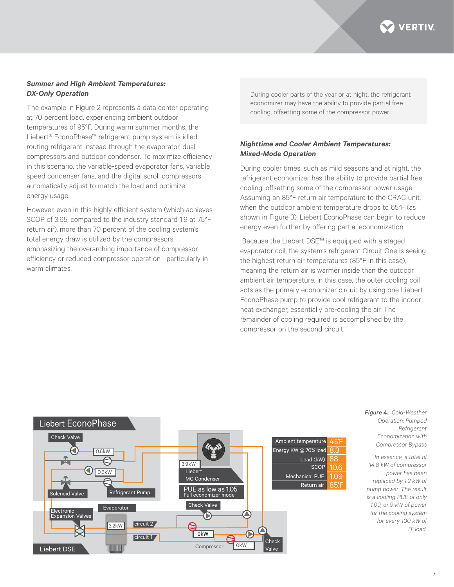

#### *Summer and High Ambient Temperatures: DX-Only Operation*

The example in Figure 2 represents a data center operating at 70 percent load, experiencing ambient outdoor temperatures of 95°F. During warm summer months, the Liebert® EconoPhase™ refrigerant pump system is idled, routing refrigerant instead through the evaporator, dual compressors and outdoor condenser. To maximize efficiency in this scenario, the variable-speed evaporator fans, variable speed condenser fans, and the digital scroll compressors automatically adjust to match the load and optimize energy usage.

However, even in this highly efficient system (which achieves SCOP of 3.65, compared to the industry standard 1.9 at 75°F return air), more than 70 percent of the cooling system's total energy draw is utilized by the compressors, emphasizing the overarching importance of compressor efficiency or reduced compressor operation– particularly in warm climates.

During cooler parts of the year or at night, the refrigerant economizer may have the ability to provide partial free cooling, offsetting some of the compressor power.

## *Nighttime and Cooler Ambient Temperatures: Mixed-Mode Operation*

During cooler times, such as mild seasons and at night, the refrigerant economizer has the ability to provide partial free cooling, offsetting some of the compressor power usage. Assuming an 85°F return air temperature to the CRAC unit, when the outdoor ambient temperature drops to 65°F (as shown in Figure 3), Liebert EconoPhase can begin to reduce energy even further by offering partial economization.

 Because the Liebert DSE™ is equipped with a staged evaporator coil, the system's refrigerant Circuit One is seeing the highest return air temperatures (85°F in this case), meaning the return air is warmer inside than the outdoor ambient air temperature. In this case, the outer cooling coil acts as the primary economizer circuit by using one Liebert EconoPhase pump to provide cool refrigerant to the indoor heat exchanger, essentially pre-cooling the air. The remainder of cooling required is accomplished by the compressor on the second circuit.



*Figure 4: Cold-Weather Operation: Pumped Refrigerant Economization with Compressor Bypass*

*In essence, a total of 14.8 kW of compressor power has been replaced by 1.2 kW of pump power. The result is a cooling PUE of only 1.09, or 9 kW of power for the cooling system for every 100 kW of IT load.*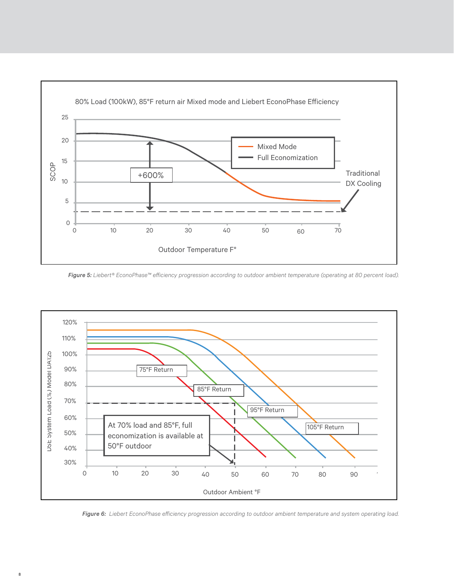

*Figure 5: Liebert® EconoPhase™ efficiency progression according to outdoor ambient temperature (operating at 80 percent load).*



*Figure 6: Liebert EconoPhase efficiency progression according to outdoor ambient temperature and system operating load.*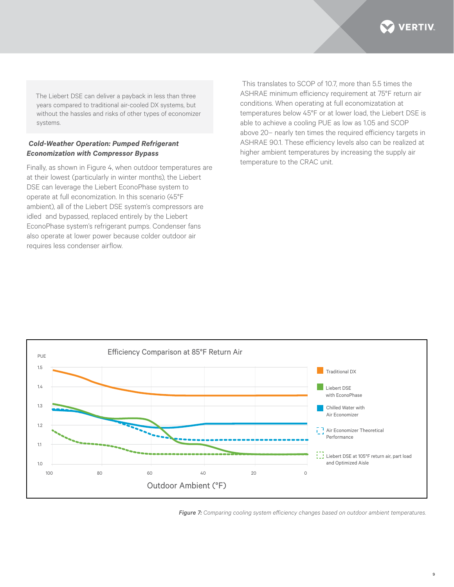

The Liebert DSE can deliver a payback in less than three years compared to traditional air-cooled DX systems, but without the hassles and risks of other types of economizer systems.

#### *Cold-Weather Operation: Pumped Refrigerant Economization with Compressor Bypass*

Finally, as shown in Figure 4, when outdoor temperatures are at their lowest (particularly in winter months), the Liebert DSE can leverage the Liebert EconoPhase system to operate at full economization. In this scenario (45°F ambient), all of the Liebert DSE system's compressors are idled and bypassed, replaced entirely by the Liebert EconoPhase system's refrigerant pumps. Condenser fans also operate at lower power because colder outdoor air requires less condenser airflow.

 This translates to SCOP of 10.7, more than 5.5 times the ASHRAE minimum efficiency requirement at 75°F return air conditions. When operating at full economizatation at temperatures below 45°F or at lower load, the Liebert DSE is able to achieve a cooling PUE as low as 1.05 and SCOP above 20– nearly ten times the required efficiency targets in ASHRAE 90.1. These efficiency levels also can be realized at higher ambient temperatures by increasing the supply air temperature to the CRAC unit.



*Figure 7: Comparing cooling system efficiency changes based on outdoor ambient temperatures.*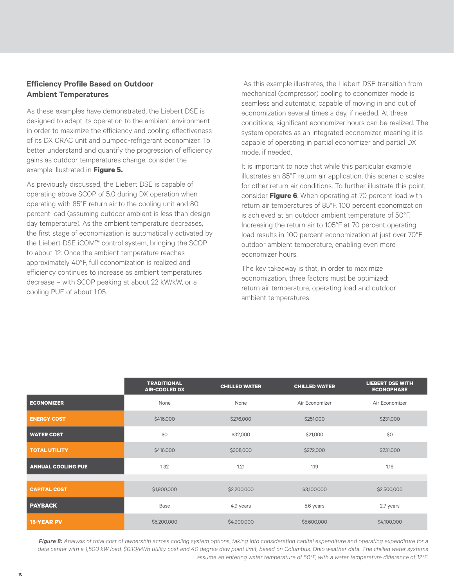# **Efficiency Profile Based on Outdoor Ambient Temperatures**

As these examples have demonstrated, the Liebert DSE is designed to adapt its operation to the ambient environment in order to maximize the efficiency and cooling effectiveness of its DX CRAC unit and pumped-refrigerant economizer. To better understand and quantify the progression of efficiency gains as outdoor temperatures change, consider the example illustrated in **Figure 5.**

As previously discussed, the Liebert DSE is capable of operating above SCOP of 5.0 during DX operation when operating with 85°F return air to the cooling unit and 80 percent load (assuming outdoor ambient is less than design day temperature). As the ambient temperature decreases, the first stage of economization is automatically activated by the Liebert DSE iCOM™ control system, bringing the SCOP to about 12. Once the ambient temperature reaches approximately 40°F, full economization is realized and efficiency continues to increase as ambient temperatures decrease – with SCOP peaking at about 22 kW/kW, or a cooling PUE of about 1.05.

 As this example illustrates, the Liebert DSE transition from mechanical (compressor) cooling to economizer mode is seamless and automatic, capable of moving in and out of economization several times a day, if needed. At these conditions, significant economizer hours can be realized. The system operates as an integrated economizer, meaning it is capable of operating in partial economizer and partial DX mode, if needed.

It is important to note that while this particular example illustrates an 85°F return air application, this scenario scales for other return air conditions. To further illustrate this point, consider **Figure 6**. When operating at 70 percent load with return air temperatures of 85°F, 100 percent economization is achieved at an outdoor ambient temperature of 50°F. Increasing the return air to 105°F at 70 percent operating load results in 100 percent economization at just over 70°F outdoor ambient temperature, enabling even more economizer hours.

The key takeaway is that, in order to maximize economization, three factors must be optimized: return air temperature, operating load and outdoor ambient temperatures.

|                           | <b>TRADITIONAL</b><br><b>AIR-COOLED DX</b> | <b>CHILLED WATER</b> | <b>CHILLED WATER</b> | <b>LIEBERT DSE WITH</b><br><b>ECONOPHASE</b> |
|---------------------------|--------------------------------------------|----------------------|----------------------|----------------------------------------------|
| <b>ECONOMIZER</b>         | None                                       | None                 | Air Economizer       | Air Economizer                               |
| <b>ENERGY COST</b>        | \$416,000                                  | \$276,000            | \$251,000            | \$231,000                                    |
| <b>WATER COST</b>         | \$0                                        | \$32,000             | \$21,000             | \$0                                          |
| <b>TOTAL UTILITY</b>      | \$416,000                                  | \$308,000            | \$272,000            | \$231,000                                    |
| <b>ANNUAL COOLING PUE</b> | 1.32                                       | 1.21                 | 1.19                 | 1.16                                         |
|                           |                                            |                      |                      |                                              |
| <b>CAPITAL COST</b>       | \$1,900,000                                | \$2,200,000          | \$3,100,000          | \$2,500,000                                  |
| <b>PAYBACK</b>            | Base                                       | 4.9 years            | 5.6 years            | 2.7 years                                    |
| <b>15-YEAR PV</b>         | \$5,200,000                                | \$4,900,000          | \$5,600,000          | \$4,100,000                                  |

Figure 8: Analysis of total cost of ownership across cooling system options, taking into consideration capital expenditure and operating expenditure for a data center with a 1,500 kW load, \$0.10/kWh utility cost and 40 degree dew point limit, based on Columbus, Ohio weather data. The chilled water systems *assume an entering water temperature of 50°F, with a water temperature difference of 12°F.*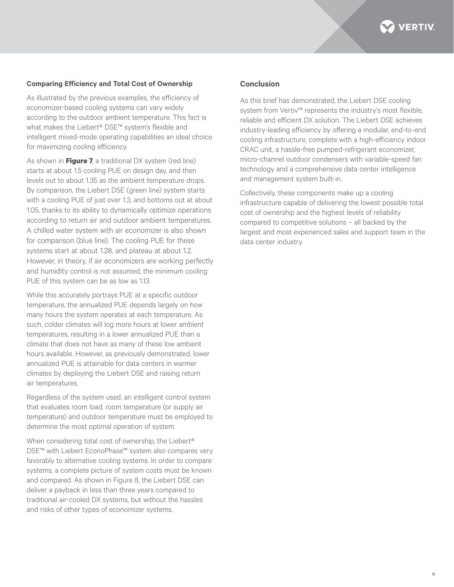

#### **Comparing Efficiency and Total Cost of Ownership**

As illustrated by the previous examples, the efficiency of economizer-based cooling systems can vary widely according to the outdoor ambient temperature. This fact is what makes the Liebert® DSE™ system's flexible and intelligent mixed-mode operating capabilities an ideal choice for maximizing cooling efficiency.

As shown in **Figure 7**, a traditional DX system (red line) starts at about 1.5 cooling PUE on design day, and then levels out to about 1.35 as the ambient temperature drops. By comparison, the Liebert DSE (green line) system starts with a cooling PUE of just over 1.3, and bottoms out at about 1.05, thanks to its ability to dynamically optimize operations according to return air and outdoor ambient temperatures. A chilled water system with air economizer is also shown for comparison (blue line). The cooling PUE for these systems start at about 1.28, and plateau at about 1.2. However, in theory, if air economizers are working perfectly and humidity control is not assumed, the minimum cooling PUE of this system can be as low as 1.13.

While this accurately portrays PUE at a specific outdoor temperature, the annualized PUE depends largely on how many hours the system operates at each temperature. As such, colder climates will log more hours at lower ambient temperatures, resulting in a lower annualized PUE than a climate that does not have as many of these low ambient hours available. However, as previously demonstrated, lower annualized PUE is attainable for data centers in warmer climates by deploying the Liebert DSE and raising return air temperatures.

Regardless of the system used, an intelligent control system that evaluates room load, room temperature (or supply air temperature) and outdoor temperature must be employed to determine the most optimal operation of system.

When considering total cost of ownership, the Liebert® DSE™ with Liebert EconoPhase™ system also compares very favorably to alternative cooling systems. In order to compare systems, a complete picture of system costs must be known and compared. As shown in Figure 8, the Liebert DSE can deliver a payback in less than three years compared to traditional air-cooled DX systems, but without the hassles and risks of other types of economizer systems.

#### **Conclusion**

As this brief has demonstrated, the Liebert DSE cooling system from Vertiv™ represents the industry's most flexible, reliable and efficient DX solution. The Liebert DSE achieves industry-leading efficiency by offering a modular, end-to-end cooling infrastructure, complete with a high-efficiency indoor CRAC unit, a hassle-free pumped-refrigerant economizer, micro-channel outdoor condensers with variable-speed fan technology and a comprehensive data center intelligence and management system built-in.

Collectively, these components make up a cooling infrastructure capable of delivering the lowest possible total cost of ownership and the highest levels of reliability compared to competitive solutions – all backed by the largest and most experienced sales and support team in the data center industry.